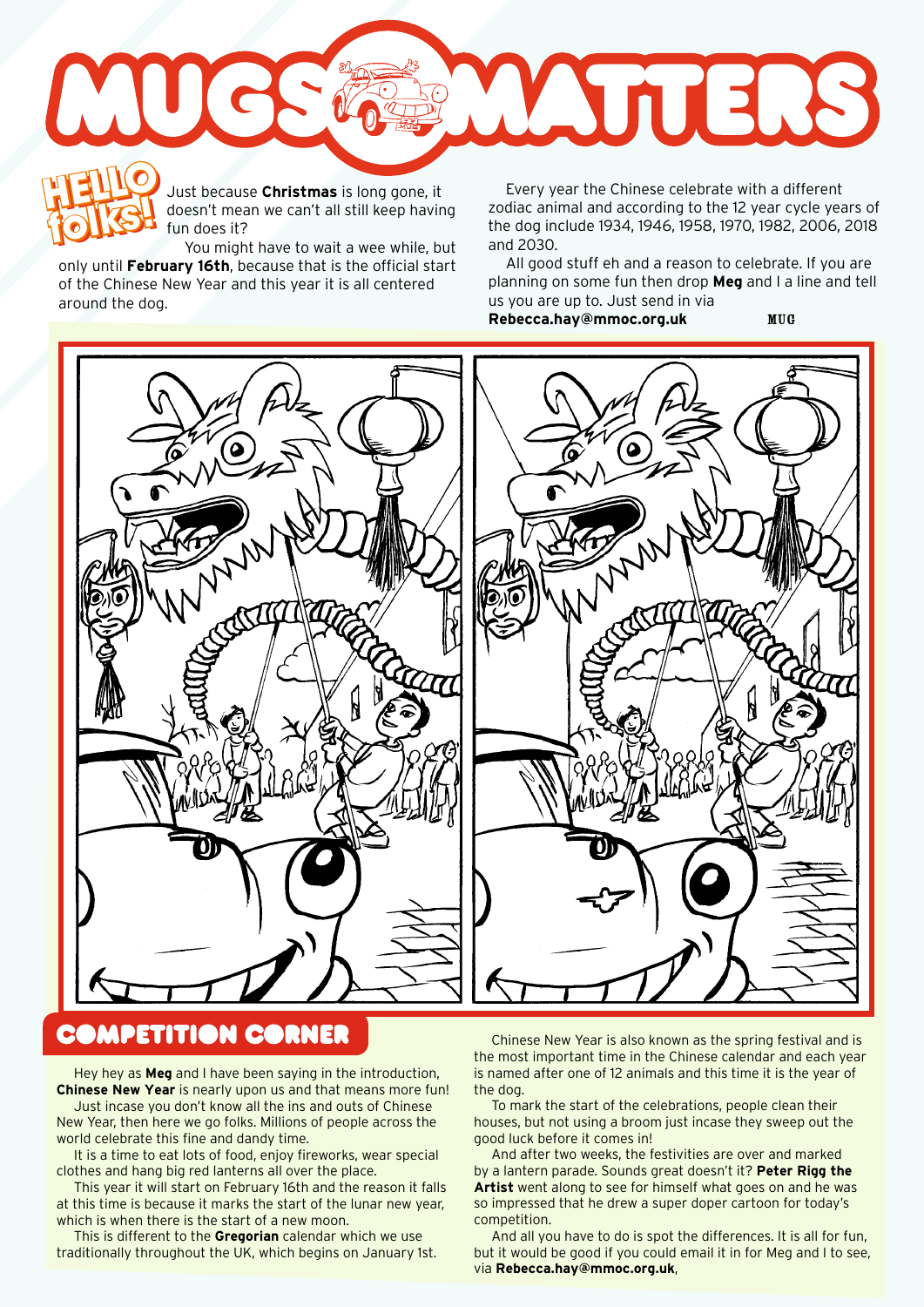

Just because **Christmas** is long gone, it doesn't mean we can't all still keep having fun does it?

You might have to wait a wee while, but only until **February 16th**, because that is the official start of the Chinese New Year and this year it is all centered around the dog. **folks!**

Just because Christmas is long gone, it<br>
folks and the Chinese celebrate with a different<br>
fun doesn't mean we can't all still keep having<br>
fun does it?<br>
fun does it?<br> **folks and 2020**<br> **folks** and 2020 zodiac animal and according to the 12 year cycle years of the dog include 1934, 1946, 1958, 1970, 1982, 2006, 2018 and 2030.

> All good stuff eh and a reason to celebrate. If you are planning on some fun then drop **Meg** and I a line and tell us you are up to. Just send in via

**Rebecca.hay@mmoc.org.uk** MUG



## **DMPETITION CORNER**

Hey hey as **Meg** and I have been saying in the introduction, **Chinese New Year** is nearly upon us and that means more fun!

Just incase you don't know all the ins and outs of Chinese New Year, then here we go folks. Millions of people across the world celebrate this fine and dandy time.

It is a time to eat lots of food, enjoy fireworks, wear special clothes and hang big red lanterns all over the place.

This year it will start on February 16th and the reason it falls at this time is because it marks the start of the lunar new year, which is when there is the start of a new moon.

This is different to the **Gregorian** calendar which we use traditionally throughout the UK, which begins on January 1st.

Chinese New Year is also known as the spring festival and is the most important time in the Chinese calendar and each year is named after one of 12 animals and this time it is the year of the dog.

To mark the start of the celebrations, people clean their houses, but not using a broom just incase they sweep out the good luck before it comes in!

And after two weeks, the festivities are over and marked by a lantern parade. Sounds great doesn't it? **Peter Rigg the Artist** went along to see for himself what goes on and he was so impressed that he drew a super doper cartoon for today's competition.

And all you have to do is spot the differences. It is all for fun, but it would be good if you could email it in for Meg and I to see, via **Rebecca.hay@mmoc.org.uk**,